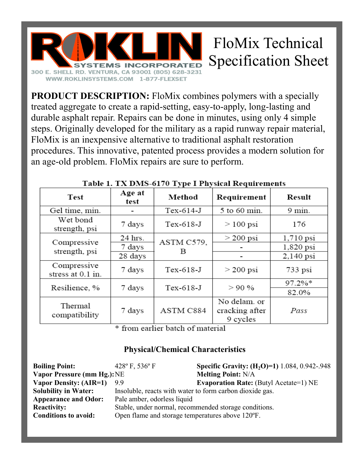

**PRODUCT DESCRIPTION:** FloMix combines polymers with a specially treated aggregate to create a rapid-setting, easy-to-apply, long-lasting and durable asphalt repair. Repairs can be done in minutes, using only 4 simple steps. Originally developed for the military as a rapid runway repair material, FloMix is an inexpensive alternative to traditional asphalt restoration procedures. This innovative, patented process provides a modern solution for an age-old problem. FloMix repairs are sure to perform.

| <b>Test</b>                      | Age at<br>test | Method          | Requirement                                | Result      |
|----------------------------------|----------------|-----------------|--------------------------------------------|-------------|
| Gel time, min.                   |                | $Tex-614-J$     | 5 to 60 min.                               | $9$ min.    |
| Wet bond<br>strength, psi        | 7 days         | $Tex-618-J$     | $>100$ psi                                 | 176         |
| Compressive<br>strength, psi     | $24$ hrs.      | ASTM C579,<br>в | $>$ 200 psi                                | $1,710$ psi |
|                                  | 7 days         |                 |                                            | 1,820 psi   |
|                                  | 28 days        |                 |                                            | $2,140$ psi |
| Compressive<br>stress at 0.1 in. | 7 days         | $Tex-618-J$     | $>$ 200 psi                                | $733$ psi   |
| Resilience, %                    | 7 days         | $Tex-618-J$     | $>90\%$                                    | $97.2\%*$   |
|                                  |                |                 |                                            | 82.0%       |
| Thermal<br>compatibility         | 7 days         | ASTM C884       | No delam. or<br>cracking after<br>9 cycles | Pass        |

## Table 1. TX DMS-6170 Type I Physical Requirements

\* from earlier batch of material

## **Physical/Chemical Characteristics**

| <b>Boiling Point:</b>              | 428 $\rm{^{\circ}F}$ , 536 $\rm{^{\circ}F}$              | <b>Specific Gravity: (H<sub>2</sub>O)=1)</b> 1.084, 0.942-.948 |  |
|------------------------------------|----------------------------------------------------------|----------------------------------------------------------------|--|
| <b>Vapor Pressure (mm Hg.): NE</b> |                                                          | <b>Melting Point: N/A</b>                                      |  |
| Vapor Density: (AIR=1)             | 99                                                       | <b>Evaporation Rate:</b> (Butyl Acetate=1) NE                  |  |
| <b>Solubility in Water:</b>        | Insoluble, reacts with water to form carbon dioxide gas. |                                                                |  |
| <b>Appearance and Odor:</b>        | Pale amber, odorless liquid                              |                                                                |  |
| <b>Reactivity:</b>                 | Stable, under normal, recommended storage conditions.    |                                                                |  |
| <b>Conditions to avoid:</b>        | Open flame and storage temperatures above 120°F.         |                                                                |  |